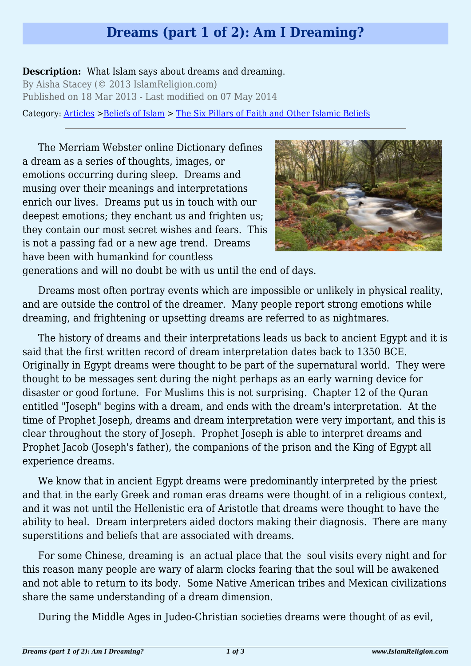## **Dreams (part 1 of 2): Am I Dreaming?**

## **Description:** What Islam says about dreams and dreaming.

By Aisha Stacey (© 2013 IslamReligion.com) Published on 18 Mar 2013 - Last modified on 07 May 2014

Category: [Articles](http://www.islamreligion.com/articles/) >[Beliefs of Islam](http://www.islamreligion.com/category/48/) > [The Six Pillars of Faith and Other Islamic Beliefs](http://www.islamreligion.com/category/50/)

The Merriam Webster online Dictionary defines a dream as a series of thoughts, images, or emotions occurring during sleep. Dreams and musing over their meanings and interpretations enrich our lives. Dreams put us in touch with our deepest emotions; they enchant us and frighten us; they contain our most secret wishes and fears. This is not a passing fad or a new age trend. Dreams have been with humankind for countless



generations and will no doubt be with us until the end of days.

Dreams most often portray events which are impossible or unlikely in physical reality, and are outside the control of the dreamer. Many people report strong emotions while dreaming, and frightening or upsetting dreams are referred to as nightmares.

The history of dreams and their interpretations leads us back to ancient Egypt and it is said that the first written record of dream interpretation dates back to 1350 BCE. Originally in Egypt dreams were thought to be part of the supernatural world. They were thought to be messages sent during the night perhaps as an early warning device for disaster or good fortune. For Muslims this is not surprising. Chapter 12 of the Quran entitled "Joseph" begins with a dream, and ends with the dream's interpretation. At the time of Prophet Joseph, dreams and dream interpretation were very important, and this is clear throughout the story of Joseph. Prophet Joseph is able to interpret dreams and Prophet Jacob (Joseph's father), the companions of the prison and the King of Egypt all experience dreams.

We know that in ancient Egypt dreams were predominantly interpreted by the priest and that in the early Greek and roman eras dreams were thought of in a religious context, and it was not until the Hellenistic era of Aristotle that dreams were thought to have the ability to heal. Dream interpreters aided doctors making their diagnosis. There are many superstitions and beliefs that are associated with dreams.

For some Chinese, dreaming is an actual place that the soul visits every night and for this reason many people are wary of alarm clocks fearing that the soul will be awakened and not able to return to its body. Some Native American tribes and Mexican civilizations share the same understanding of a dream dimension.

During the Middle Ages in Judeo-Christian societies dreams were thought of as evil,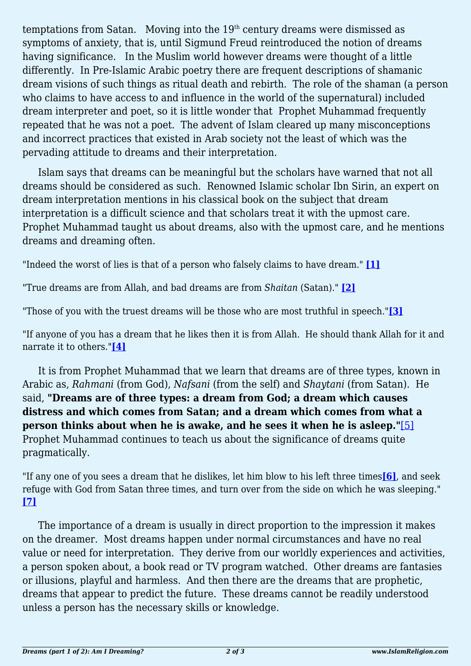temptations from Satan. Moving into the  $19<sup>th</sup>$  century dreams were dismissed as symptoms of anxiety, that is, until Sigmund Freud reintroduced the notion of dreams having significance. In the Muslim world however dreams were thought of a little differently. In Pre-Islamic Arabic poetry there are frequent descriptions of shamanic dream visions of such things as ritual death and rebirth. The role of the shaman (a person who claims to have access to and influence in the world of the supernatural) included dream interpreter and poet, so it is little wonder that Prophet Muhammad frequently repeated that he was not a poet. The advent of Islam cleared up many misconceptions and incorrect practices that existed in Arab society not the least of which was the pervading attitude to dreams and their interpretation.

Islam says that dreams can be meaningful but the scholars have warned that not all dreams should be considered as such. Renowned Islamic scholar Ibn Sirin, an expert on dream interpretation mentions in his classical book on the subject that dream interpretation is a difficult science and that scholars treat it with the upmost care. Prophet Muhammad taught us about dreams, also with the upmost care, and he mentions dreams and dreaming often.

<span id="page-1-0"></span>"Indeed the worst of lies is that of a person who falsely claims to have dream." **[\[1\]](#page-2-0)**

<span id="page-1-1"></span>"True dreams are from Allah, and bad dreams are from *Shaitan* (Satan)." **[\[2\]](#page-2-1)**

<span id="page-1-2"></span>"Those of you with the truest dreams will be those who are most truthful in speech."**[\[3\]](#page-2-2)**

<span id="page-1-3"></span>"If anyone of you has a dream that he likes then it is from Allah. He should thank Allah for it and narrate it to others."**[\[4\]](#page-2-3)**

It is from Prophet Muhammad that we learn that dreams are of three types, known in Arabic as, *Rahmani* (from God), *Nafsani* (from the self) and *Shaytani* (from Satan). He said, **"Dreams are of three types: a dream from God; a dream which causes distress and which comes from Satan; and a dream which comes from what a person thinks about when he is awake, and he sees it when he is asleep."**[\[5\]](#page-2-4) Prophet Muhammad continues to teach us about the significance of dreams quite pragmatically.

<span id="page-1-6"></span><span id="page-1-5"></span><span id="page-1-4"></span>"If any one of you sees a dream that he dislikes, let him blow to his left three times**[\[6\]](#page-2-5)**, and seek refuge with God from Satan three times, and turn over from the side on which he was sleeping." **[\[7\]](#page-2-6)**

The importance of a dream is usually in direct proportion to the impression it makes on the dreamer. Most dreams happen under normal circumstances and have no real value or need for interpretation. They derive from our worldly experiences and activities, a person spoken about, a book read or TV program watched. Other dreams are fantasies or illusions, playful and harmless. And then there are the dreams that are prophetic, dreams that appear to predict the future. These dreams cannot be readily understood unless a person has the necessary skills or knowledge.